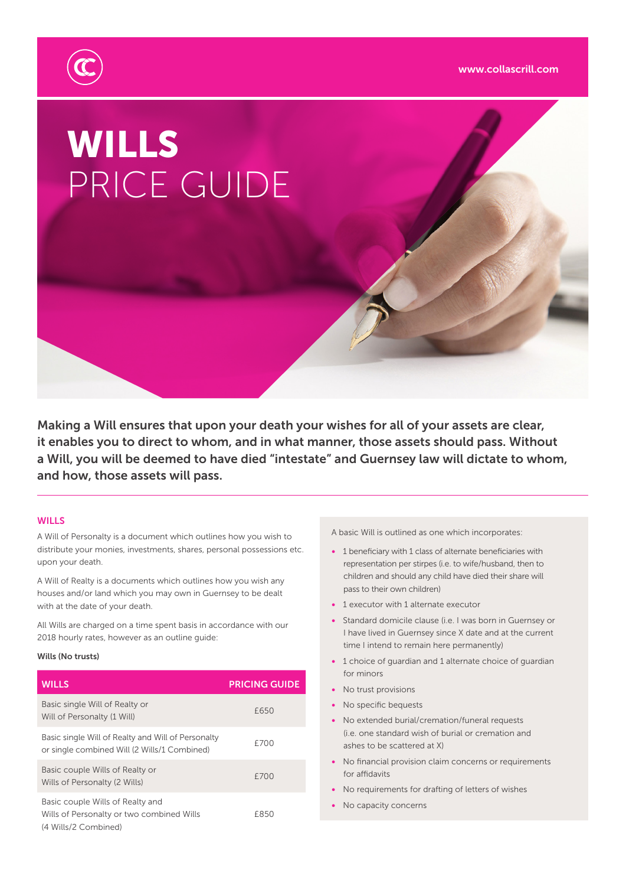

# WILLS PRICE GUIDE

Making a Will ensures that upon your death your wishes for all of your assets are clear, it enables you to direct to whom, and in what manner, those assets should pass. Without a Will, you will be deemed to have died "intestate" and Guernsey law will dictate to whom, and how, those assets will pass.

## **WILLS**

A Will of Personalty is a document which outlines how you wish to distribute your monies, investments, shares, personal possessions etc. upon your death.

A Will of Realty is a documents which outlines how you wish any houses and/or land which you may own in Guernsey to be dealt with at the date of your death.

All Wills are charged on a time spent basis in accordance with our 2018 hourly rates, however as an outline guide:

### Wills (No trusts)

| <b>WILLS</b>                                                                                          | <b>PRICING GUIDE</b> |
|-------------------------------------------------------------------------------------------------------|----------------------|
| Basic single Will of Realty or<br>Will of Personalty (1 Will)                                         | £650                 |
| Basic single Will of Realty and Will of Personalty<br>or single combined Will (2 Wills/1 Combined)    | £700                 |
| Basic couple Wills of Realty or<br>Wills of Personalty (2 Wills)                                      | £700                 |
| Basic couple Wills of Realty and<br>Wills of Personalty or two combined Wills<br>(4 Wills/2 Combined) | £850                 |

A basic Will is outlined as one which incorporates:

- 1 beneficiary with 1 class of alternate beneficiaries with representation per stirpes (i.e. to wife/husband, then to children and should any child have died their share will pass to their own children)
- 1 executor with 1 alternate executor
- Standard domicile clause (i.e. I was born in Guernsey or I have lived in Guernsey since X date and at the current time I intend to remain here permanently)
- 1 choice of guardian and 1 alternate choice of guardian for minors
- No trust provisions
- No specific bequests
- No extended burial/cremation/funeral requests (i.e. one standard wish of burial or cremation and ashes to be scattered at X)
- No financial provision claim concerns or requirements for affidavits
- No requirements for drafting of letters of wishes
- No capacity concerns